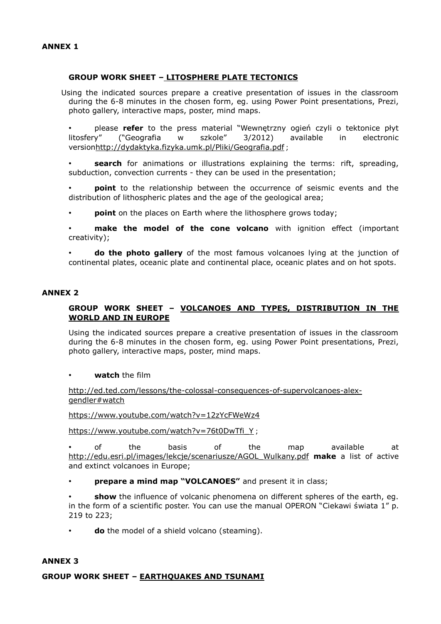## **GROUP WORK SHEET – LITOSPHERE PLATE TECTONICS**

Using the indicated sources prepare a creative presentation of issues in the classroom during the 6-8 minutes in the chosen form, eg. using Power Point presentations, Prezi, photo gallery, interactive maps, poster, mind maps.

• please **refer** to the press material "Wewnętrzny ogień czyli o tektonice płyt litosfery" ("Geografia w szkole" 3/2012) available in electronic versio[nhttp://dydaktyka.fizyka.umk.pl/Pliki/Geografia.pdf](http://dydaktyka.fizyka.umk.pl/Pliki/Geografia.pdf) ;

**search** for animations or illustrations explaining the terms: rift, spreading, subduction, convection currents - they can be used in the presentation;

**point** to the relationship between the occurrence of seismic events and the distribution of lithospheric plates and the age of the geological area;

• **point** on the places on Earth where the lithosphere grows today;

**make the model of the cone volcano** with ignition effect (important creativity);

• **do the photo gallery** of the most famous volcanoes lying at the junction of continental plates, oceanic plate and continental place, oceanic plates and on hot spots.

### **ANNEX 2**

# **GROUP WORK SHEET – VOLCANOES AND TYPES, DISTRIBUTION IN THE WORLD AND IN EUROPE**

Using the indicated sources prepare a creative presentation of issues in the classroom during the 6-8 minutes in the chosen form, eg. using Power Point presentations, Prezi, photo gallery, interactive maps, poster, mind maps.

• **watch** the film

http://ed.ted.com/lessons/the-colossal-consequences-of-supervolcanoes-alexgendler#watch

<https://www.youtube.com/watch?v=12zYcFWeWz4>

[https://www.youtube.com/watch?v=76t0DwTfi\\_Y](https://www.youtube.com/watch?v=76t0DwTfi_Y) ;

• of the basis of the map available at [http://edu.esri.pl/images/lekcje/scenariusze/AGOL\\_Wulkany.pdf](http://edu.esri.pl/images/lekcje/scenariusze/AGOL_Wulkany.pdf) **make** a list of active and extinct volcanoes in Europe;

**prepare a mind map "VOLCANOES"** and present it in class;

**show** the influence of volcanic phenomena on different spheres of the earth, eg. in the form of a scientific poster. You can use the manual OPERON "Ciekawi świata 1" p. 219 to 223;

**do** the model of a shield volcano (steaming).

#### **ANNEX 3**

**GROUP WORK SHEET – EARTHQUAKES AND TSUNAMI**